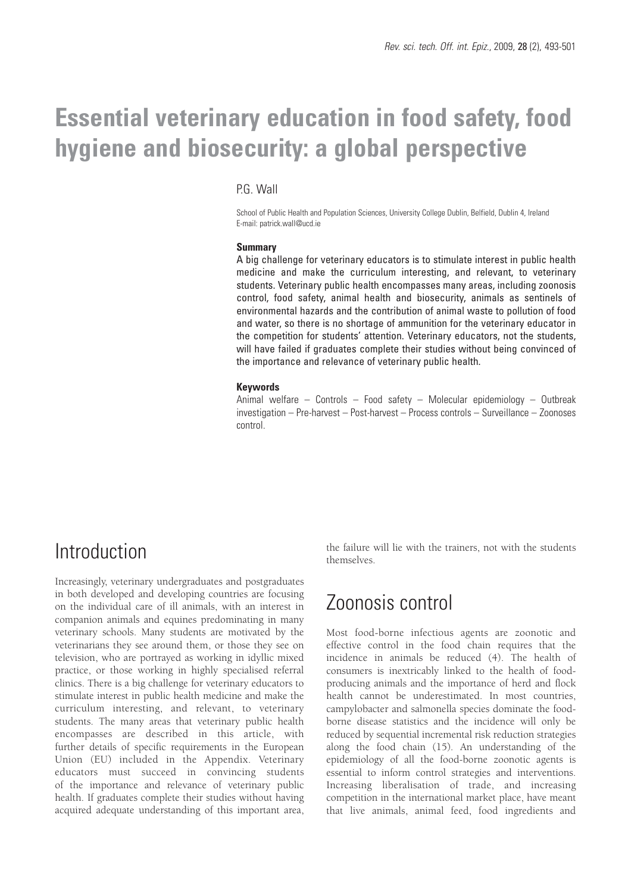# **Essential veterinary education in food safety, food hygiene and biosecurity: a global perspective**

### P.G. Wall

School of Public Health and Population Sciences, University College Dublin, Belfield, Dublin 4, Ireland E-mail: patrick.wall@ucd.ie

#### **Summary**

A big challenge for veterinary educators is to stimulate interest in public health medicine and make the curriculum interesting, and relevant, to veterinary students. Veterinary public health encompasses many areas, including zoonosis control, food safety, animal health and biosecurity, animals as sentinels of environmental hazards and the contribution of animal waste to pollution of food and water, so there is no shortage of ammunition for the veterinary educator in the competition for students' attention. Veterinary educators, not the students, will have failed if graduates complete their studies without being convinced of the importance and relevance of veterinary public health.

#### **Keywords**

Animal welfare – Controls – Food safety – Molecular epidemiology – Outbreak investigation – Pre-harvest – Post-harvest – Process controls – Surveillance – Zoonoses control.

### **Introduction**

Increasingly, veterinary undergraduates and postgraduates in both developed and developing countries are focusing on the individual care of ill animals, with an interest in companion animals and equines predominating in many veterinary schools. Many students are motivated by the veterinarians they see around them, or those they see on television, who are portrayed as working in idyllic mixed practice, or those working in highly specialised referral clinics. There is a big challenge for veterinary educators to stimulate interest in public health medicine and make the curriculum interesting, and relevant, to veterinary students. The many areas that veterinary public health encompasses are described in this article, with further details of specific requirements in the European Union (EU) included in the Appendix. Veterinary educators must succeed in convincing students of the importance and relevance of veterinary public health. If graduates complete their studies without having acquired adequate understanding of this important area, the failure will lie with the trainers, not with the students themselves.

### Zoonosis control

Most food-borne infectious agents are zoonotic and effective control in the food chain requires that the incidence in animals be reduced (4). The health of consumers is inextricably linked to the health of foodproducing animals and the importance of herd and flock health cannot be underestimated. In most countries, campylobacter and salmonella species dominate the foodborne disease statistics and the incidence will only be reduced by sequential incremental risk reduction strategies along the food chain (15). An understanding of the epidemiology of all the food-borne zoonotic agents is essential to inform control strategies and interventions. Increasing liberalisation of trade, and increasing competition in the international market place, have meant that live animals, animal feed, food ingredients and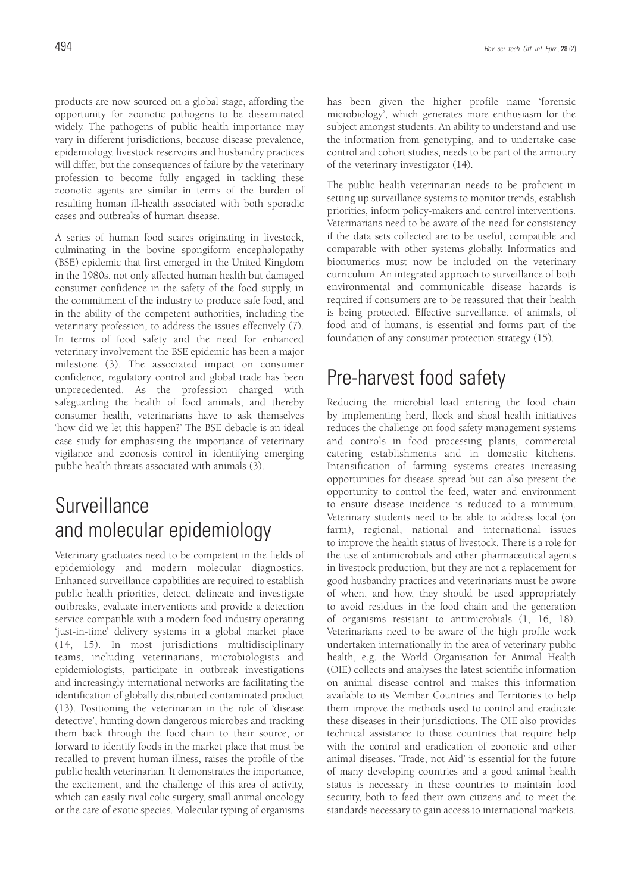products are now sourced on a global stage, affording the opportunity for zoonotic pathogens to be disseminated widely. The pathogens of public health importance may vary in different jurisdictions, because disease prevalence, epidemiology, livestock reservoirs and husbandry practices will differ, but the consequences of failure by the veterinary profession to become fully engaged in tackling these zoonotic agents are similar in terms of the burden of resulting human ill-health associated with both sporadic cases and outbreaks of human disease.

A series of human food scares originating in livestock, culminating in the bovine spongiform encephalopathy (BSE) epidemic that first emerged in the United Kingdom in the 1980s, not only affected human health but damaged consumer confidence in the safety of the food supply, in the commitment of the industry to produce safe food, and in the ability of the competent authorities, including the veterinary profession, to address the issues effectively (7). In terms of food safety and the need for enhanced veterinary involvement the BSE epidemic has been a major milestone (3). The associated impact on consumer confidence, regulatory control and global trade has been unprecedented. As the profession charged with safeguarding the health of food animals, and thereby consumer health, veterinarians have to ask themselves 'how did we let this happen?' The BSE debacle is an ideal case study for emphasising the importance of veterinary vigilance and zoonosis control in identifying emerging public health threats associated with animals (3).

# Surveillance and molecular epidemiology

Veterinary graduates need to be competent in the fields of epidemiology and modern molecular diagnostics. Enhanced surveillance capabilities are required to establish public health priorities, detect, delineate and investigate outbreaks, evaluate interventions and provide a detection service compatible with a modern food industry operating 'just-in-time' delivery systems in a global market place (14, 15). In most jurisdictions multidisciplinary teams, including veterinarians, microbiologists and epidemiologists, participate in outbreak investigations and increasingly international networks are facilitating the identification of globally distributed contaminated product (13). Positioning the veterinarian in the role of 'disease detective', hunting down dangerous microbes and tracking them back through the food chain to their source, or forward to identify foods in the market place that must be recalled to prevent human illness, raises the profile of the public health veterinarian. It demonstrates the importance, the excitement, and the challenge of this area of activity, which can easily rival colic surgery, small animal oncology or the care of exotic species. Molecular typing of organisms has been given the higher profile name 'forensic microbiology', which generates more enthusiasm for the subject amongst students. An ability to understand and use the information from genotyping, and to undertake case control and cohort studies, needs to be part of the armoury of the veterinary investigator (14).

The public health veterinarian needs to be proficient in setting up surveillance systems to monitor trends, establish priorities, inform policy-makers and control interventions. Veterinarians need to be aware of the need for consistency if the data sets collected are to be useful, compatible and comparable with other systems globally. Informatics and bionumerics must now be included on the veterinary curriculum. An integrated approach to surveillance of both environmental and communicable disease hazards is required if consumers are to be reassured that their health is being protected. Effective surveillance, of animals, of food and of humans, is essential and forms part of the foundation of any consumer protection strategy (15).

# Pre-harvest food safety

Reducing the microbial load entering the food chain by implementing herd, flock and shoal health initiatives reduces the challenge on food safety management systems and controls in food processing plants, commercial catering establishments and in domestic kitchens. Intensification of farming systems creates increasing opportunities for disease spread but can also present the opportunity to control the feed, water and environment to ensure disease incidence is reduced to a minimum. Veterinary students need to be able to address local (on farm), regional, national and international issues to improve the health status of livestock. There is a role for the use of antimicrobials and other pharmaceutical agents in livestock production, but they are not a replacement for good husbandry practices and veterinarians must be aware of when, and how, they should be used appropriately to avoid residues in the food chain and the generation of organisms resistant to antimicrobials (1, 16, 18). Veterinarians need to be aware of the high profile work undertaken internationally in the area of veterinary public health, e.g. the World Organisation for Animal Health (OIE) collects and analyses the latest scientific information on animal disease control and makes this information available to its Member Countries and Territories to help them improve the methods used to control and eradicate these diseases in their jurisdictions. The OIE also provides technical assistance to those countries that require help with the control and eradication of zoonotic and other animal diseases. 'Trade, not Aid' is essential for the future of many developing countries and a good animal health status is necessary in these countries to maintain food security, both to feed their own citizens and to meet the standards necessary to gain access to international markets.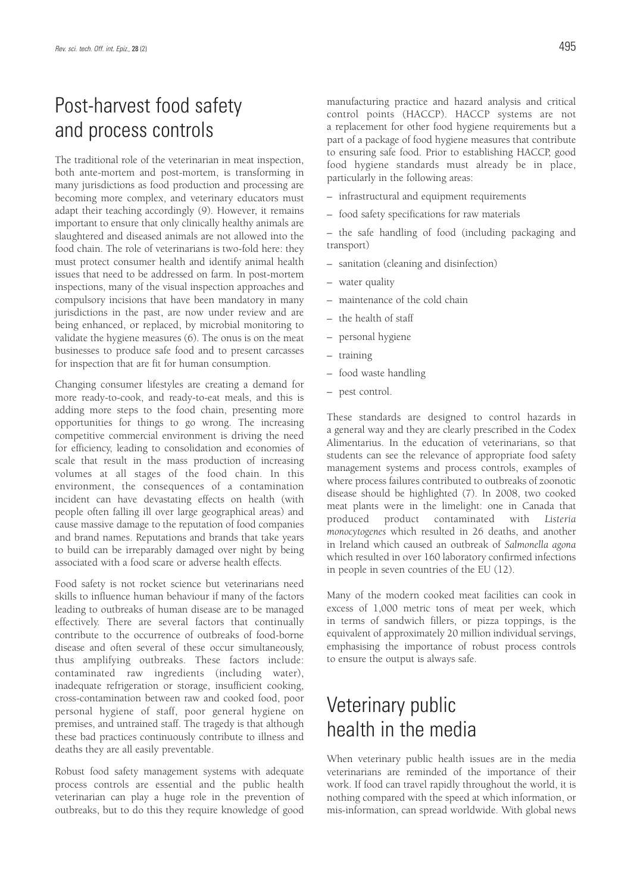# Post-harvest food safety and process controls

The traditional role of the veterinarian in meat inspection, both ante-mortem and post-mortem, is transforming in many jurisdictions as food production and processing are becoming more complex, and veterinary educators must adapt their teaching accordingly (9). However, it remains important to ensure that only clinically healthy animals are slaughtered and diseased animals are not allowed into the food chain. The role of veterinarians is two-fold here: they must protect consumer health and identify animal health issues that need to be addressed on farm. In post-mortem inspections, many of the visual inspection approaches and compulsory incisions that have been mandatory in many jurisdictions in the past, are now under review and are being enhanced, or replaced, by microbial monitoring to validate the hygiene measures (6). The onus is on the meat businesses to produce safe food and to present carcasses for inspection that are fit for human consumption.

Changing consumer lifestyles are creating a demand for more ready-to-cook, and ready-to-eat meals, and this is adding more steps to the food chain, presenting more opportunities for things to go wrong. The increasing competitive commercial environment is driving the need for efficiency, leading to consolidation and economies of scale that result in the mass production of increasing volumes at all stages of the food chain. In this environment, the consequences of a contamination incident can have devastating effects on health (with people often falling ill over large geographical areas) and cause massive damage to the reputation of food companies and brand names. Reputations and brands that take years to build can be irreparably damaged over night by being associated with a food scare or adverse health effects.

Food safety is not rocket science but veterinarians need skills to influence human behaviour if many of the factors leading to outbreaks of human disease are to be managed effectively. There are several factors that continually contribute to the occurrence of outbreaks of food-borne disease and often several of these occur simultaneously, thus amplifying outbreaks. These factors include: contaminated raw ingredients (including water), inadequate refrigeration or storage, insufficient cooking, cross-contamination between raw and cooked food, poor personal hygiene of staff, poor general hygiene on premises, and untrained staff. The tragedy is that although these bad practices continuously contribute to illness and deaths they are all easily preventable.

Robust food safety management systems with adequate process controls are essential and the public health veterinarian can play a huge role in the prevention of outbreaks, but to do this they require knowledge of good manufacturing practice and hazard analysis and critical control points (HACCP). HACCP systems are not a replacement for other food hygiene requirements but a part of a package of food hygiene measures that contribute to ensuring safe food. Prior to establishing HACCP, good food hygiene standards must already be in place, particularly in the following areas:

- infrastructural and equipment requirements
- food safety specifications for raw materials

– the safe handling of food (including packaging and transport)

- sanitation (cleaning and disinfection)
- water quality
- maintenance of the cold chain
- the health of staff
- personal hygiene
- training
- food waste handling
- pest control.

These standards are designed to control hazards in a general way and they are clearly prescribed in the Codex Alimentarius. In the education of veterinarians, so that students can see the relevance of appropriate food safety management systems and process controls, examples of where process failures contributed to outbreaks of zoonotic disease should be highlighted (7). In 2008, two cooked meat plants were in the limelight: one in Canada that produced product contaminated with *Listeria monocytogenes* which resulted in 26 deaths, and another in Ireland which caused an outbreak of *Salmonella agona* which resulted in over 160 laboratory confirmed infections in people in seven countries of the EU (12).

Many of the modern cooked meat facilities can cook in excess of 1,000 metric tons of meat per week, which in terms of sandwich fillers, or pizza toppings, is the equivalent of approximately 20 million individual servings, emphasising the importance of robust process controls to ensure the output is always safe.

### Veterinary public health in the media

When veterinary public health issues are in the media veterinarians are reminded of the importance of their work. If food can travel rapidly throughout the world, it is nothing compared with the speed at which information, or mis-information, can spread worldwide. With global news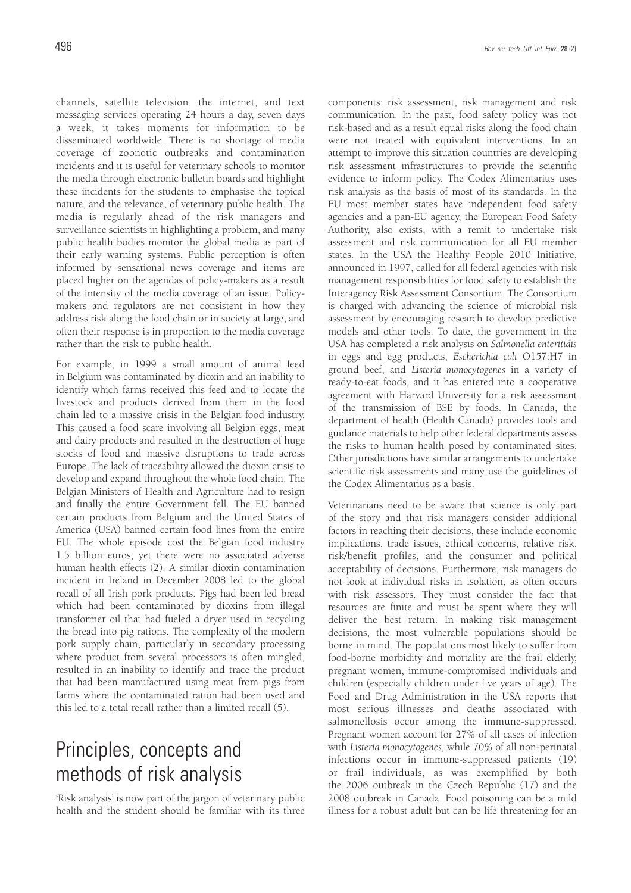channels, satellite television, the internet, and text messaging services operating 24 hours a day, seven days a week, it takes moments for information to be disseminated worldwide. There is no shortage of media coverage of zoonotic outbreaks and contamination incidents and it is useful for veterinary schools to monitor the media through electronic bulletin boards and highlight these incidents for the students to emphasise the topical nature, and the relevance, of veterinary public health. The media is regularly ahead of the risk managers and surveillance scientists in highlighting a problem, and many public health bodies monitor the global media as part of their early warning systems. Public perception is often informed by sensational news coverage and items are placed higher on the agendas of policy-makers as a result of the intensity of the media coverage of an issue. Policymakers and regulators are not consistent in how they address risk along the food chain or in society at large, and often their response is in proportion to the media coverage rather than the risk to public health.

For example, in 1999 a small amount of animal feed in Belgium was contaminated by dioxin and an inability to identify which farms received this feed and to locate the livestock and products derived from them in the food chain led to a massive crisis in the Belgian food industry. This caused a food scare involving all Belgian eggs, meat and dairy products and resulted in the destruction of huge stocks of food and massive disruptions to trade across Europe. The lack of traceability allowed the dioxin crisis to develop and expand throughout the whole food chain. The Belgian Ministers of Health and Agriculture had to resign and finally the entire Government fell. The EU banned certain products from Belgium and the United States of America (USA) banned certain food lines from the entire EU. The whole episode cost the Belgian food industry 1.5 billion euros, yet there were no associated adverse human health effects (2). A similar dioxin contamination incident in Ireland in December 2008 led to the global recall of all Irish pork products. Pigs had been fed bread which had been contaminated by dioxins from illegal transformer oil that had fueled a dryer used in recycling the bread into pig rations. The complexity of the modern pork supply chain, particularly in secondary processing where product from several processors is often mingled, resulted in an inability to identify and trace the product that had been manufactured using meat from pigs from farms where the contaminated ration had been used and this led to a total recall rather than a limited recall (5).

# Principles, concepts and methods of risk analysis

'Risk analysis' is now part of the jargon of veterinary public health and the student should be familiar with its three components: risk assessment, risk management and risk communication. In the past, food safety policy was not risk-based and as a result equal risks along the food chain were not treated with equivalent interventions. In an attempt to improve this situation countries are developing risk assessment infrastructures to provide the scientific evidence to inform policy. The Codex Alimentarius uses risk analysis as the basis of most of its standards. In the EU most member states have independent food safety agencies and a pan-EU agency, the European Food Safety Authority, also exists, with a remit to undertake risk assessment and risk communication for all EU member states. In the USA the Healthy People 2010 Initiative, announced in 1997, called for all federal agencies with risk management responsibilities for food safety to establish the Interagency Risk Assessment Consortium. The Consortium is charged with advancing the science of microbial risk assessment by encouraging research to develop predictive models and other tools. To date, the government in the USA has completed a risk analysis on *Salmonella enteritidis* in eggs and egg products, *Escherichia coli* O157:H7 in ground beef, and *Listeria monocytogenes* in a variety of ready-to-eat foods, and it has entered into a cooperative agreement with Harvard University for a risk assessment of the transmission of BSE by foods. In Canada, the department of health (Health Canada) provides tools and guidance materials to help other federal departments assess the risks to human health posed by contaminated sites. Other jurisdictions have similar arrangements to undertake scientific risk assessments and many use the guidelines of the Codex Alimentarius as a basis.

Veterinarians need to be aware that science is only part of the story and that risk managers consider additional factors in reaching their decisions, these include economic implications, trade issues, ethical concerns, relative risk, risk/benefit profiles, and the consumer and political acceptability of decisions. Furthermore, risk managers do not look at individual risks in isolation, as often occurs with risk assessors. They must consider the fact that resources are finite and must be spent where they will deliver the best return. In making risk management decisions, the most vulnerable populations should be borne in mind. The populations most likely to suffer from food-borne morbidity and mortality are the frail elderly, pregnant women, immune-compromised individuals and children (especially children under five years of age). The Food and Drug Administration in the USA reports that most serious illnesses and deaths associated with salmonellosis occur among the immune-suppressed. Pregnant women account for 27% of all cases of infection with *Listeria monocytogenes*, while 70% of all non-perinatal infections occur in immune-suppressed patients (19) or frail individuals, as was exemplified by both the 2006 outbreak in the Czech Republic (17) and the 2008 outbreak in Canada. Food poisoning can be a mild illness for a robust adult but can be life threatening for an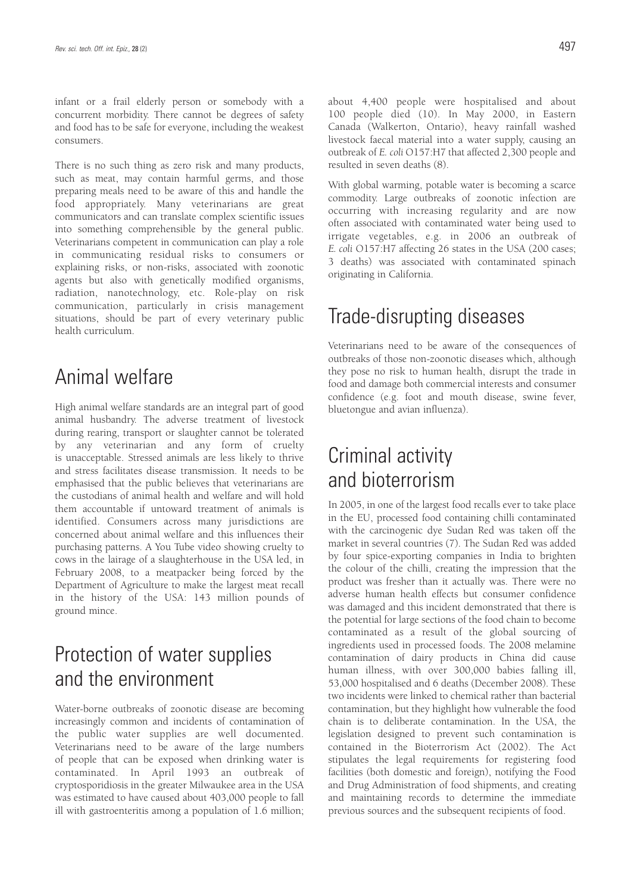infant or a frail elderly person or somebody with a concurrent morbidity. There cannot be degrees of safety and food has to be safe for everyone, including the weakest consumers.

There is no such thing as zero risk and many products, such as meat, may contain harmful germs, and those preparing meals need to be aware of this and handle the food appropriately. Many veterinarians are great communicators and can translate complex scientific issues into something comprehensible by the general public. Veterinarians competent in communication can play a role in communicating residual risks to consumers or explaining risks, or non-risks, associated with zoonotic agents but also with genetically modified organisms, radiation, nanotechnology, etc. Role-play on risk communication, particularly in crisis management situations, should be part of every veterinary public health curriculum.

### Animal welfare

High animal welfare standards are an integral part of good animal husbandry. The adverse treatment of livestock during rearing, transport or slaughter cannot be tolerated by any veterinarian and any form of cruelty is unacceptable. Stressed animals are less likely to thrive and stress facilitates disease transmission. It needs to be emphasised that the public believes that veterinarians are the custodians of animal health and welfare and will hold them accountable if untoward treatment of animals is identified. Consumers across many jurisdictions are concerned about animal welfare and this influences their purchasing patterns. A You Tube video showing cruelty to cows in the lairage of a slaughterhouse in the USA led, in February 2008, to a meatpacker being forced by the Department of Agriculture to make the largest meat recall in the history of the USA: 143 million pounds of ground mince.

### Protection of water supplies and the environment

Water-borne outbreaks of zoonotic disease are becoming increasingly common and incidents of contamination of the public water supplies are well documented. Veterinarians need to be aware of the large numbers of people that can be exposed when drinking water is contaminated. In April 1993 an outbreak of cryptosporidiosis in the greater Milwaukee area in the USA was estimated to have caused about 403,000 people to fall ill with gastroenteritis among a population of 1.6 million; about 4,400 people were hospitalised and about 100 people died (10). In May 2000, in Eastern Canada (Walkerton, Ontario), heavy rainfall washed livestock faecal material into a water supply, causing an outbreak of *E. coli* O157:H7 that affected 2,300 people and resulted in seven deaths (8).

With global warming, potable water is becoming a scarce commodity. Large outbreaks of zoonotic infection are occurring with increasing regularity and are now often associated with contaminated water being used to irrigate vegetables, e.g. in 2006 an outbreak of *E. coli* O157:H7 affecting 26 states in the USA (200 cases; 3 deaths) was associated with contaminated spinach originating in California.

### Trade-disrupting diseases

Veterinarians need to be aware of the consequences of outbreaks of those non-zoonotic diseases which, although they pose no risk to human health, disrupt the trade in food and damage both commercial interests and consumer confidence (e.g. foot and mouth disease, swine fever, bluetongue and avian influenza).

# Criminal activity and bioterrorism

In 2005, in one of the largest food recalls ever to take place in the EU, processed food containing chilli contaminated with the carcinogenic dye Sudan Red was taken off the market in several countries (7). The Sudan Red was added by four spice-exporting companies in India to brighten the colour of the chilli, creating the impression that the product was fresher than it actually was. There were no adverse human health effects but consumer confidence was damaged and this incident demonstrated that there is the potential for large sections of the food chain to become contaminated as a result of the global sourcing of ingredients used in processed foods. The 2008 melamine contamination of dairy products in China did cause human illness, with over 300,000 babies falling ill, 53,000 hospitalised and 6 deaths (December 2008). These two incidents were linked to chemical rather than bacterial contamination, but they highlight how vulnerable the food chain is to deliberate contamination. In the USA, the legislation designed to prevent such contamination is contained in the Bioterrorism Act (2002). The Act stipulates the legal requirements for registering food facilities (both domestic and foreign), notifying the Food and Drug Administration of food shipments, and creating and maintaining records to determine the immediate previous sources and the subsequent recipients of food.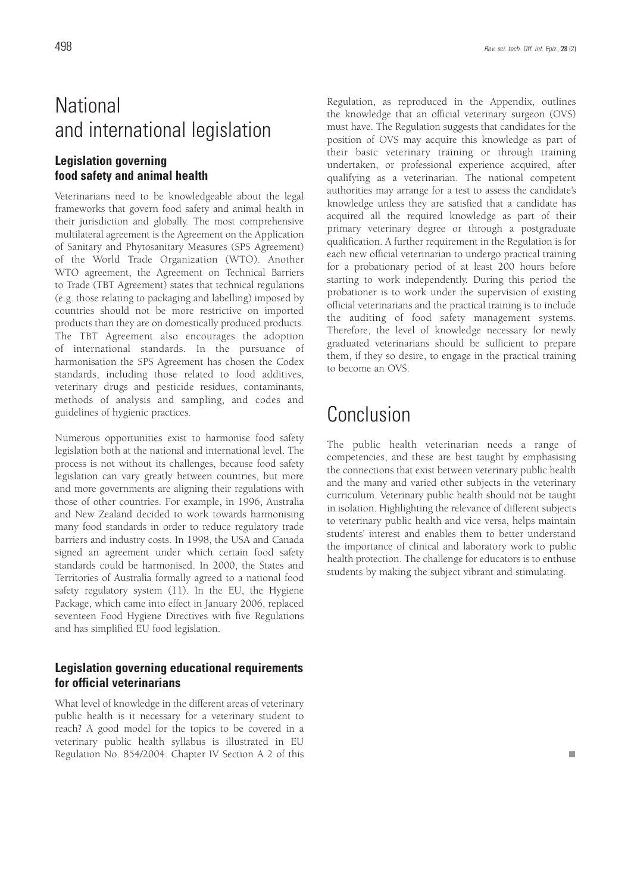# **National** and international legislation

### **Legislation governing food safety and animal health**

Veterinarians need to be knowledgeable about the legal frameworks that govern food safety and animal health in their jurisdiction and globally. The most comprehensive multilateral agreement is the Agreement on the Application of Sanitary and Phytosanitary Measures (SPS Agreement) of the World Trade Organization (WTO). Another WTO agreement, the Agreement on Technical Barriers to Trade (TBT Agreement) states that technical regulations (e.g. those relating to packaging and labelling) imposed by countries should not be more restrictive on imported products than they are on domestically produced products. The TBT Agreement also encourages the adoption of international standards. In the pursuance of harmonisation the SPS Agreement has chosen the Codex standards, including those related to food additives, veterinary drugs and pesticide residues, contaminants, methods of analysis and sampling, and codes and guidelines of hygienic practices.

Numerous opportunities exist to harmonise food safety legislation both at the national and international level. The process is not without its challenges, because food safety legislation can vary greatly between countries, but more and more governments are aligning their regulations with those of other countries. For example, in 1996, Australia and New Zealand decided to work towards harmonising many food standards in order to reduce regulatory trade barriers and industry costs. In 1998, the USA and Canada signed an agreement under which certain food safety standards could be harmonised. In 2000, the States and Territories of Australia formally agreed to a national food safety regulatory system (11). In the EU, the Hygiene Package, which came into effect in January 2006, replaced seventeen Food Hygiene Directives with five Regulations and has simplified EU food legislation.

### **Legislation governing educational requirements for official veterinarians**

What level of knowledge in the different areas of veterinary public health is it necessary for a veterinary student to reach? A good model for the topics to be covered in a veterinary public health syllabus is illustrated in EU Regulation No. 854/2004. Chapter IV Section A 2 of this

Regulation, as reproduced in the Appendix, outlines the knowledge that an official veterinary surgeon (OVS) must have. The Regulation suggests that candidates for the position of OVS may acquire this knowledge as part of their basic veterinary training or through training undertaken, or professional experience acquired, after qualifying as a veterinarian. The national competent authorities may arrange for a test to assess the candidate's knowledge unless they are satisfied that a candidate has acquired all the required knowledge as part of their primary veterinary degree or through a postgraduate qualification. A further requirement in the Regulation is for each new official veterinarian to undergo practical training for a probationary period of at least 200 hours before starting to work independently. During this period the probationer is to work under the supervision of existing official veterinarians and the practical training is to include the auditing of food safety management systems. Therefore, the level of knowledge necessary for newly graduated veterinarians should be sufficient to prepare them, if they so desire, to engage in the practical training to become an OVS.

# Conclusion

The public health veterinarian needs a range of competencies, and these are best taught by emphasising the connections that exist between veterinary public health and the many and varied other subjects in the veterinary curriculum. Veterinary public health should not be taught in isolation. Highlighting the relevance of different subjects to veterinary public health and vice versa, helps maintain students' interest and enables them to better understand the importance of clinical and laboratory work to public health protection. The challenge for educators is to enthuse students by making the subject vibrant and stimulating.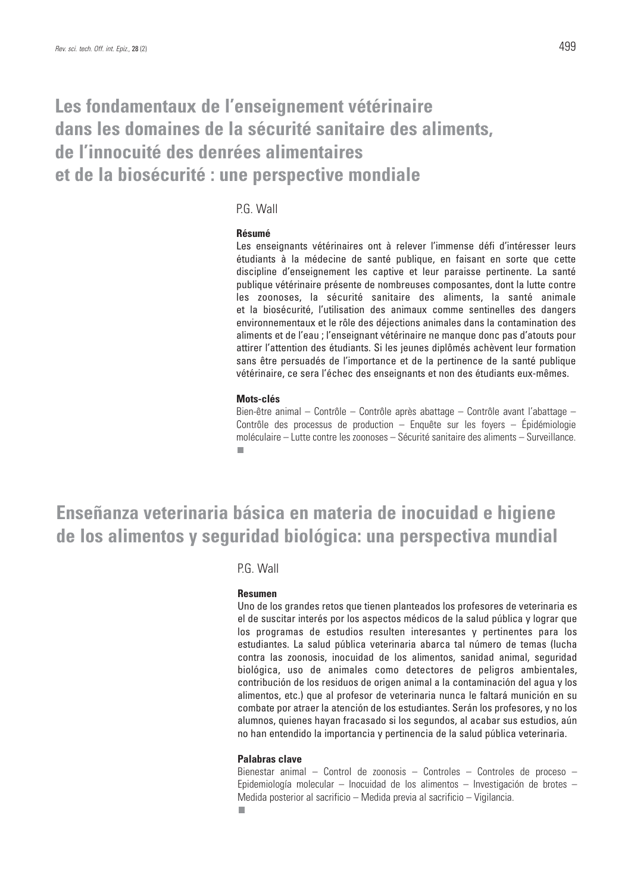### **Les fondamentaux de l'enseignement vétérinaire dans les domaines de la sécurité sanitaire des aliments, de l'innocuité des denrées alimentaires et de la biosécurité : une perspective mondiale**

### P.G. Wall

### **Résumé**

Les enseignants vétérinaires ont à relever l'immense défi d'intéresser leurs étudiants à la médecine de santé publique, en faisant en sorte que cette discipline d'enseignement les captive et leur paraisse pertinente. La santé publique vétérinaire présente de nombreuses composantes, dont la lutte contre les zoonoses, la sécurité sanitaire des aliments, la santé animale et la biosécurité, l'utilisation des animaux comme sentinelles des dangers environnementaux et le rôle des déjections animales dans la contamination des aliments et de l'eau ; l'enseignant vétérinaire ne manque donc pas d'atouts pour attirer l'attention des étudiants. Si les jeunes diplômés achèvent leur formation sans être persuadés de l'importance et de la pertinence de la santé publique vétérinaire, ce sera l'échec des enseignants et non des étudiants eux-mêmes.

### **Mots-clés**

Bien-être animal – Contrôle – Contrôle après abattage – Contrôle avant l'abattage – Contrôle des processus de production – Enquête sur les fovers – Épidémiologie moléculaire – Lutte contre les zoonoses – Sécurité sanitaire des aliments – Surveillance. п

### **Enseñanza veterinaria básica en materia de inocuidad e higiene de los alimentos y seguridad biológica: una perspectiva mundial**

### PG Wall

### **Resumen**

Uno de los grandes retos que tienen planteados los profesores de veterinaria es el de suscitar interés por los aspectos médicos de la salud pública y lograr que los programas de estudios resulten interesantes y pertinentes para los estudiantes. La salud pública veterinaria abarca tal número de temas (lucha contra las zoonosis, inocuidad de los alimentos, sanidad animal, seguridad biológica, uso de animales como detectores de peligros ambientales, contribución de los residuos de origen animal a la contaminación del agua y los alimentos, etc.) que al profesor de veterinaria nunca le faltará munición en su combate por atraer la atención de los estudiantes. Serán los profesores, y no los alumnos, quienes hayan fracasado si los segundos, al acabar sus estudios, aún no han entendido la importancia y pertinencia de la salud pública veterinaria.

### **Palabras clave**

Bienestar animal – Control de zoonosis – Controles – Controles de proceso – Epidemiología molecular – Inocuidad de los alimentos – Investigación de brotes – Medida posterior al sacrificio – Medida previa al sacrificio – Vigilancia.п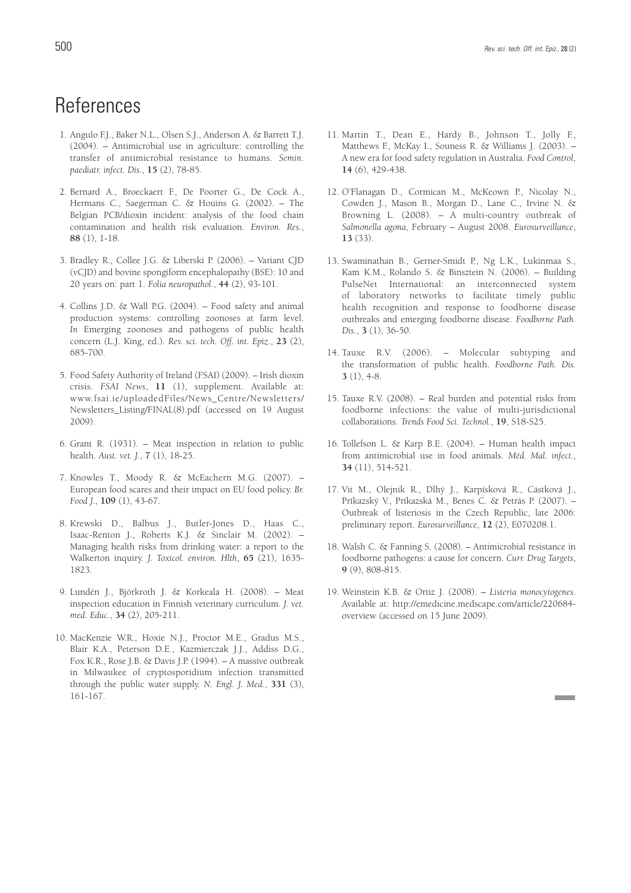# **References**

- 1. Angulo F.J., Baker N.L., Olsen S.J., Anderson A. & Barrett T.J. (2004). – Antimicrobial use in agriculture: controlling the transfer of antimicrobial resistance to humans. *Semin. paediatr. infect. Dis.*, **15** (2), 78-85.
- 2. Bernard A., Broeckaert F., De Poorter G., De Cock A., Hermans C., Saegerman C. & Houins G. (2002). – The Belgian PCB/dioxin incident: analysis of the food chain contamination and health risk evaluation. *Environ. Res.*, **88** (1), 1-18.
- 3. Bradley R., Collee J.G. & Liberski P. (2006). Variant CJD (vCJD) and bovine spongiform encephalopathy (BSE): 10 and 20 years on: part 1. *Folia neuropathol.*, **44** (2), 93-101.
- 4. Collins J.D. & Wall P.G. (2004). Food safety and animal production systems: controlling zoonoses at farm level. *In* Emerging zoonoses and pathogens of public health concern (L.J. King, ed.). *Rev. sci. tech. Off. int. Epiz.*, **23** (2), 685-700.
- 5. Food Safety Authority of Ireland (FSAI) (2009). Irish dioxin crisis. *FSAI News*, **11** (1), supplement. Available at: www.fsai.ie/uploadedFiles/News\_Centre/Newsletters/ Newsletters\_Listing/FINAL(8).pdf (accessed on 19 August 2009).
- 6. Grant R. (1931). Meat inspection in relation to public health. *Aust. vet. J.*, **7** (1), 18-25.
- 7. Knowles T., Moody R. & McEachern M.G. (2007). European food scares and their impact on EU food policy. *Br. Food J.*, **109** (1), 43-67.
- 8. Krewski D., Balbus J., Butler-Jones D., Haas C., Isaac-Renton J., Roberts K.J. & Sinclair M. (2002). – Managing health risks from drinking water: a report to the Walkerton inquiry. *J. Toxicol. environ. Hlth*, **65** (21), 1635- 1823.
- 9. Lundén J., Björkroth J. & Korkeala H. (2008). Meat inspection education in Finnish veterinary curriculum. *J. vet. med. Educ.*, **34** (2), 205-211.
- 10. MacKenzie W.R., Hoxie N.J., Proctor M.E., Gradus M.S., Blair K.A., Peterson D.E., Kazmierczak J.J., Addiss D.G., Fox K.R., Rose J.B. & Davis J.P. (1994). – A massive outbreak in Milwaukee of cryptosporidium infection transmitted through the public water supply. *N. Engl. J. Med.*, **331** (3), 161-167.
- 11. Martin T., Dean E., Hardy B., Johnson T., Jolly F., Matthews F., McKay I., Souness R. & Williams J. (2003). – A new era for food safety regulation in Australia. *Food Control*, **14** (6), 429-438.
- 12. O'Flanagan D., Cormican M., McKeown P., Nicolay N., Cowden J., Mason B., Morgan D., Lane C., Irvine N. & Browning L. (2008). – A multi-country outbreak of *Salmonella agona*, February – August 2008. *Eurosurveillance*, **13** (33).
- 13. Swaminathan B., Gerner-Smidt P., Ng L.K., Lukinmaa S., Kam K.M., Rolando S. & Binsztein N. (2006). – Building PulseNet International: an interconnected system of laboratory networks to facilitate timely public health recognition and response to foodborne disease outbreaks and emerging foodborne disease. *Foodborne Path. Dis*., **3** (1), 36-50.
- 14. Tauxe R.V. (2006). Molecular subtyping and the transformation of public health. *Foodborne Path. Dis.* **3** (1), 4-8.
- 15. Tauxe R.V. (2008). Real burden and potential risks from foodborne infections: the value of multi-jurisdictional collaborations. *Trends Food Sci. Technol.*, **19**, S18-S25.
- 16. Tollefson L. & Karp B.E. (2004). Human health impact from antimicrobial use in food animals. *Méd. Mal. infect.*, **34** (11), 514-521.
- 17. Vit M., Olejnik R., Dlhý J., Karpísková R., Cástková J., Príkazský V., Príkazská M., Benes C. & Petrás P. (2007). – Outbreak of listeriosis in the Czech Republic, late 2006: preliminary report. *Eurosurveillance*, **12** (2), E070208.1.
- 18. Walsh C. & Fanning S. (2008). Antimicrobial resistance in foodborne pathogens: a cause for concern. *Curr. Drug Targets*, **9** (9), 808-815.
- 19. Weinstein K.B. & Ortiz J. (2008). *Listeria monocytogenes*. Available at: http://emedicine.medscape.com/article/220684 overview (accessed on 15 June 2009).